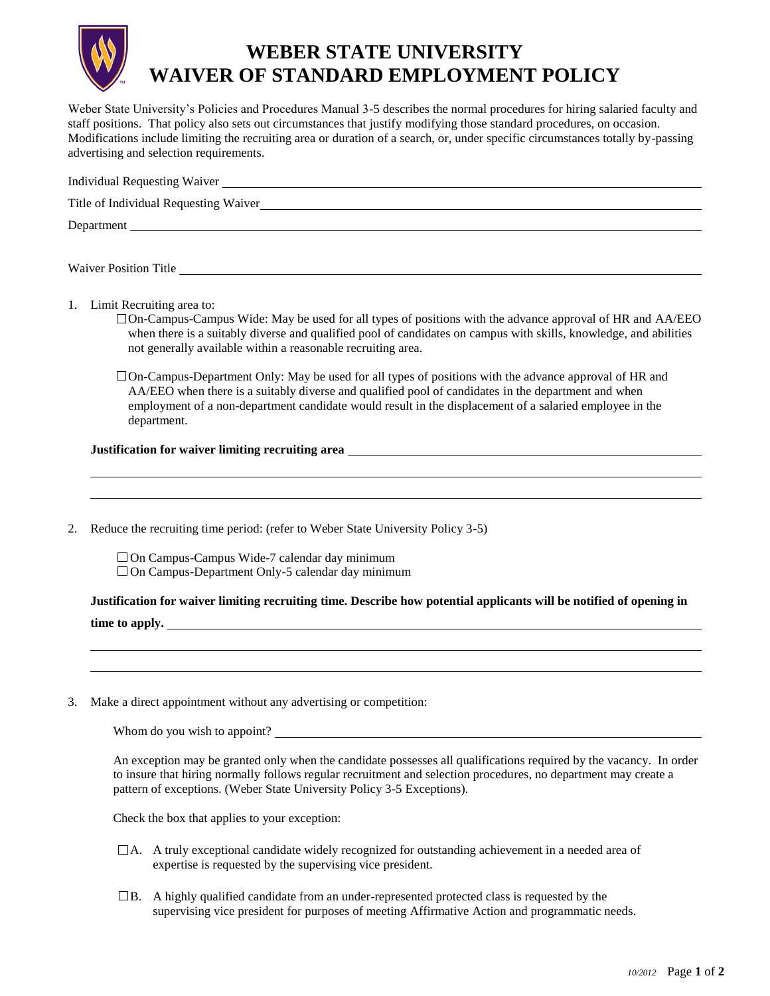

## **WEBER STATE UNIVERSITY WAIVER OF STANDARD EMPLOYMENT POLICY**

Weber State University's Policies and Procedures Manual 3-5 describes the normal procedures for hiring salaried faculty and staff positions. That policy also sets out circumstances that justify modifying those standard procedures, on occasion. Modifications include limiting the recruiting area or duration of a search, or, under specific circumstances totally by-passing advertising and selection requirements.

| Department                                                                                                                                                                                                                                                                                                                                    |  |  |  |  |
|-----------------------------------------------------------------------------------------------------------------------------------------------------------------------------------------------------------------------------------------------------------------------------------------------------------------------------------------------|--|--|--|--|
|                                                                                                                                                                                                                                                                                                                                               |  |  |  |  |
| Waiver Position Title <u>the contract of the contract of the contract of the contract of the contract of the contract of the contract of the contract of the contract of the contract of the contract of the contract of the con</u>                                                                                                          |  |  |  |  |
|                                                                                                                                                                                                                                                                                                                                               |  |  |  |  |
| Limit Recruiting area to:<br>1.<br>$\Box$ On-Campus-Campus Wide: May be used for all types of positions with the advance approval of HR and AA/EEO<br>when there is a suitably diverse and qualified pool of candidates on campus with skills, knowledge, and abilities<br>not generally available within a reasonable recruiting area.       |  |  |  |  |
| $\Box$ On-Campus-Department Only: May be used for all types of positions with the advance approval of HR and<br>AA/EEO when there is a suitably diverse and qualified pool of candidates in the department and when<br>employment of a non-department candidate would result in the displacement of a salaried employee in the<br>department. |  |  |  |  |
| Justification for waiver limiting recruiting area home and the contract of the contract of the contract of the contract of the contract of the contract of the contract of the contract of the contract of the contract of the                                                                                                                |  |  |  |  |
|                                                                                                                                                                                                                                                                                                                                               |  |  |  |  |

2. Reduce the recruiting time period: (refer to Weber State University Policy 3-5)

 $\Box$  On Campus-Campus Wide-7 calendar day minimum  $\Box$  On Campus-Department Only-5 calendar day minimum

**Justification for waiver limiting recruiting time. Describe how potential applicants will be notified of opening in time to apply.**

3. Make a direct appointment without any advertising or competition:

Whom do you wish to appoint?

An exception may be granted only when the candidate possesses all qualifications required by the vacancy. In order to insure that hiring normally follows regular recruitment and selection procedures, no department may create a pattern of exceptions. (Weber State University Policy 3-5 Exceptions).

Check the box that applies to your exception:

- $\Box$  A. A truly exceptional candidate widely recognized for outstanding achievement in a needed area of expertise is requested by the supervising vice president.
- $\Box$ B. A highly qualified candidate from an under-represented protected class is requested by the supervising vice president for purposes of meeting Affirmative Action and programmatic needs.